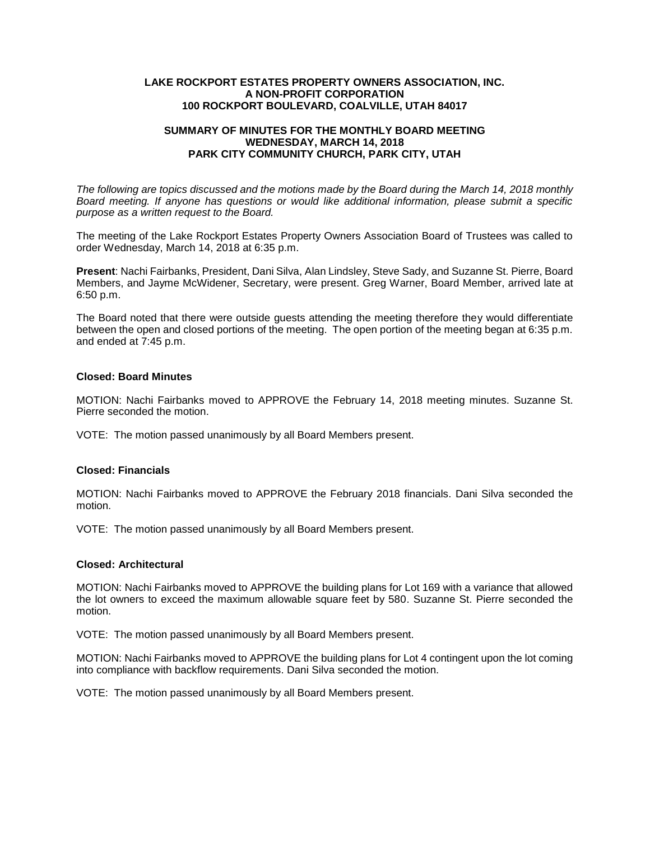#### **LAKE ROCKPORT ESTATES PROPERTY OWNERS ASSOCIATION, INC. A NON-PROFIT CORPORATION 100 ROCKPORT BOULEVARD, COALVILLE, UTAH 84017**

### **SUMMARY OF MINUTES FOR THE MONTHLY BOARD MEETING WEDNESDAY, MARCH 14, 2018 PARK CITY COMMUNITY CHURCH, PARK CITY, UTAH**

*The following are topics discussed and the motions made by the Board during the March 14, 2018 monthly Board meeting. If anyone has questions or would like additional information, please submit a specific purpose as a written request to the Board.*

The meeting of the Lake Rockport Estates Property Owners Association Board of Trustees was called to order Wednesday, March 14, 2018 at 6:35 p.m.

**Present**: Nachi Fairbanks, President, Dani Silva, Alan Lindsley, Steve Sady, and Suzanne St. Pierre, Board Members, and Jayme McWidener, Secretary, were present. Greg Warner, Board Member, arrived late at 6:50 p.m.

The Board noted that there were outside guests attending the meeting therefore they would differentiate between the open and closed portions of the meeting. The open portion of the meeting began at 6:35 p.m. and ended at 7:45 p.m.

# **Closed: Board Minutes**

MOTION: Nachi Fairbanks moved to APPROVE the February 14, 2018 meeting minutes. Suzanne St. Pierre seconded the motion.

VOTE: The motion passed unanimously by all Board Members present.

# **Closed: Financials**

MOTION: Nachi Fairbanks moved to APPROVE the February 2018 financials. Dani Silva seconded the motion.

VOTE: The motion passed unanimously by all Board Members present.

#### **Closed: Architectural**

MOTION: Nachi Fairbanks moved to APPROVE the building plans for Lot 169 with a variance that allowed the lot owners to exceed the maximum allowable square feet by 580. Suzanne St. Pierre seconded the motion.

VOTE: The motion passed unanimously by all Board Members present.

MOTION: Nachi Fairbanks moved to APPROVE the building plans for Lot 4 contingent upon the lot coming into compliance with backflow requirements. Dani Silva seconded the motion.

VOTE: The motion passed unanimously by all Board Members present.